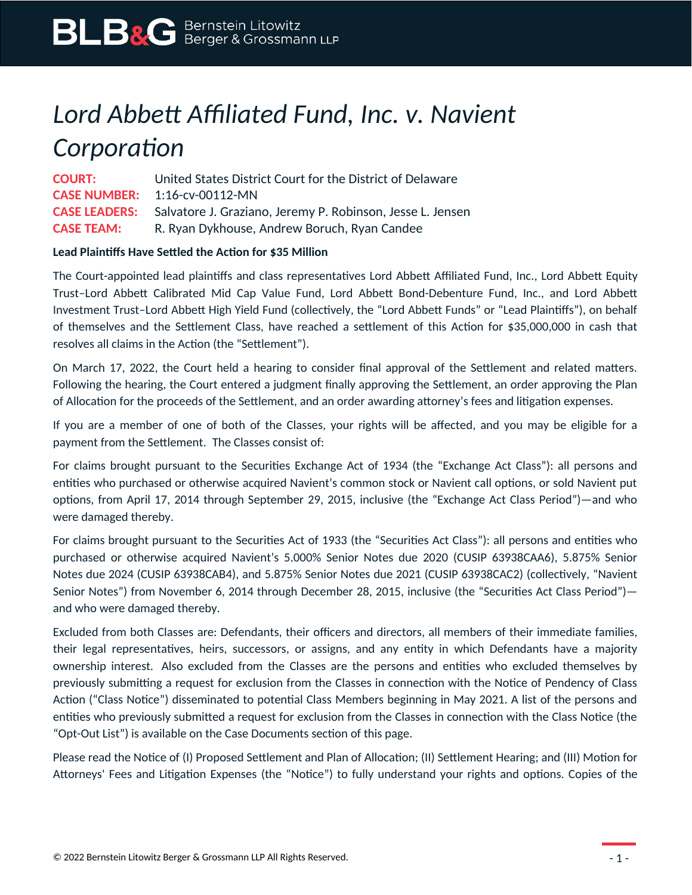# *Lord Abbett Affiliated Fund, Inc. v. Navient Corporation*

**COURT:** United States District Court for the District of Delaware **CASE NUMBER:** 1:16-cv-00112-MN **CASE LEADERS:** Salvatore J. Graziano, Jeremy P. Robinson, Jesse L. Jensen **CASE TEAM:** R. Ryan Dykhouse, Andrew Boruch, Ryan Candee

### **Lead Plaintiffs Have Settled the Action for \$35 Million**

The Court-appointed lead plaintiffs and class representatives Lord Abbett Affiliated Fund, Inc., Lord Abbett Equity Trust–Lord Abbett Calibrated Mid Cap Value Fund, Lord Abbett Bond-Debenture Fund, Inc., and Lord Abbett Investment Trust–Lord Abbett High Yield Fund (collectively, the "Lord Abbett Funds" or "Lead Plaintiffs"), on behalf of themselves and the Settlement Class, have reached a settlement of this Action for \$35,000,000 in cash that resolves all claims in the Action (the "Settlement").

On March 17, 2022, the Court held a hearing to consider final approval of the Settlement and related matters. Following the hearing, the Court entered a judgment finally approving the Settlement, an order approving the Plan of Allocation for the proceeds of the Settlement, and an order awarding attorney's fees and litigation expenses.

If you are a member of one of both of the Classes, your rights will be affected, and you may be eligible for a payment from the Settlement. The Classes consist of:

For claims brought pursuant to the Securities Exchange Act of 1934 (the "Exchange Act Class"): all persons and entities who purchased or otherwise acquired Navient's common stock or Navient call options, or sold Navient put options, from April 17, 2014 through September 29, 2015, inclusive (the "Exchange Act Class Period")—and who were damaged thereby.

For claims brought pursuant to the Securities Act of 1933 (the "Securities Act Class"): all persons and entities who purchased or otherwise acquired Navient's 5.000% Senior Notes due 2020 (CUSIP 63938CAA6), 5.875% Senior Notes due 2024 (CUSIP 63938CAB4), and 5.875% Senior Notes due 2021 (CUSIP 63938CAC2) (collectively, "Navient Senior Notes") from November 6, 2014 through December 28, 2015, inclusive (the "Securities Act Class Period") and who were damaged thereby.

Excluded from both Classes are: Defendants, their officers and directors, all members of their immediate families, their legal representatives, heirs, successors, or assigns, and any entity in which Defendants have a majority ownership interest. Also excluded from the Classes are the persons and entities who excluded themselves by previously submitting a request for exclusion from the Classes in connection with the Notice of Pendency of Class Action ("Class Notice") disseminated to potential Class Members beginning in May 2021. A list of the persons and entities who previously submitted a request for exclusion from the Classes in connection with the Class Notice (the "Opt-Out List") is available on the Case Documents section of this page.

Please read the Notice of (I) Proposed Settlement and Plan of Allocation; (II) Settlement Hearing; and (III) Motion for Attorneys' Fees and Litigation Expenses (the "Notice") to fully understand your rights and options. Copies of the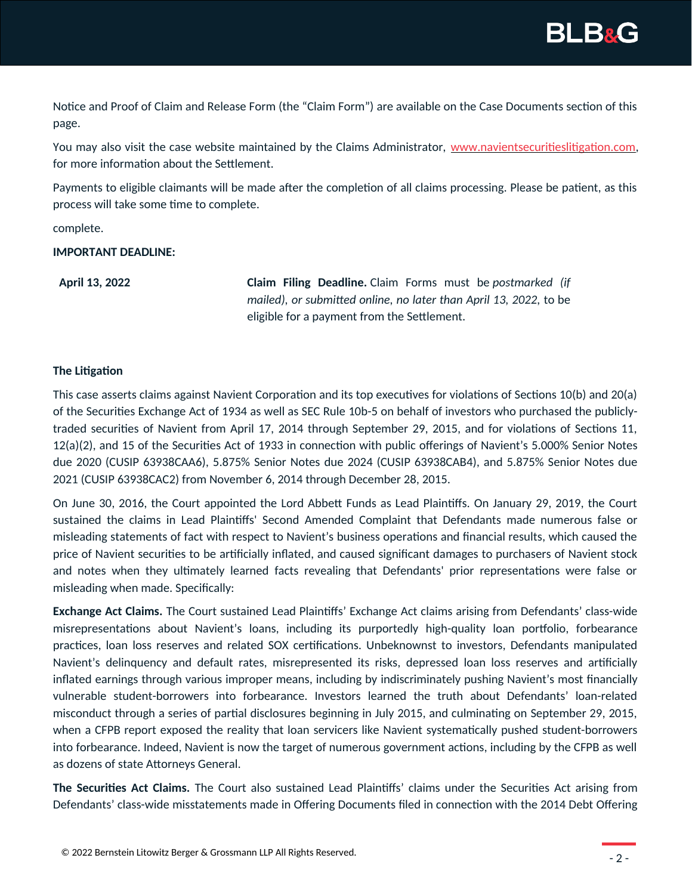

Notice and Proof of Claim and Release Form (the "Claim Form") are available on the Case Documents section of this page.

You may also visit the case website maintained by the Claims Administrator, [www.navientsecuritieslitigation.com,](http://www.navientsecuritieslitigation.com/) for more information about the Settlement.

Payments to eligible claimants will be made after the completion of all claims processing. Please be patient, as this process will take some time to complete.

complete.

#### **IMPORTANT DEADLINE:**

**April 13, 2022 Claim Filing Deadline.** Claim Forms must be *postmarked (if mailed), or submitted online, no later than April 13, 2022,* to be eligible for a payment from the Settlement.

#### **The Litigation**

This case asserts claims against Navient Corporation and its top executives for violations of Sections 10(b) and 20(a) of the Securities Exchange Act of 1934 as well as SEC Rule 10b-5 on behalf of investors who purchased the publiclytraded securities of Navient from April 17, 2014 through September 29, 2015, and for violations of Sections 11, 12(a)(2), and 15 of the Securities Act of 1933 in connection with public offerings of Navient's 5.000% Senior Notes due 2020 (CUSIP 63938CAA6), 5.875% Senior Notes due 2024 (CUSIP 63938CAB4), and 5.875% Senior Notes due 2021 (CUSIP 63938CAC2) from November 6, 2014 through December 28, 2015.

On June 30, 2016, the Court appointed the Lord Abbett Funds as Lead Plaintiffs. On January 29, 2019, the Court sustained the claims in Lead Plaintiffs' Second Amended Complaint that Defendants made numerous false or misleading statements of fact with respect to Navient's business operations and financial results, which caused the price of Navient securities to be artificially inflated, and caused significant damages to purchasers of Navient stock and notes when they ultimately learned facts revealing that Defendants' prior representations were false or misleading when made. Specifically:

**Exchange Act Claims.** The Court sustained Lead Plaintiffs' Exchange Act claims arising from Defendants' class-wide misrepresentations about Navient's loans, including its purportedly high-quality loan portfolio, forbearance practices, loan loss reserves and related SOX certifications. Unbeknownst to investors, Defendants manipulated Navient's delinquency and default rates, misrepresented its risks, depressed loan loss reserves and artificially inflated earnings through various improper means, including by indiscriminately pushing Navient's most financially vulnerable student-borrowers into forbearance. Investors learned the truth about Defendants' loan-related misconduct through a series of partial disclosures beginning in July 2015, and culminating on September 29, 2015, when a CFPB report exposed the reality that loan servicers like Navient systematically pushed student-borrowers into forbearance. Indeed, Navient is now the target of numerous government actions, including by the CFPB as well as dozens of state Attorneys General.

**The Securities Act Claims.** The Court also sustained Lead Plaintiffs' claims under the Securities Act arising from Defendants' class-wide misstatements made in Offering Documents filed in connection with the 2014 Debt Offering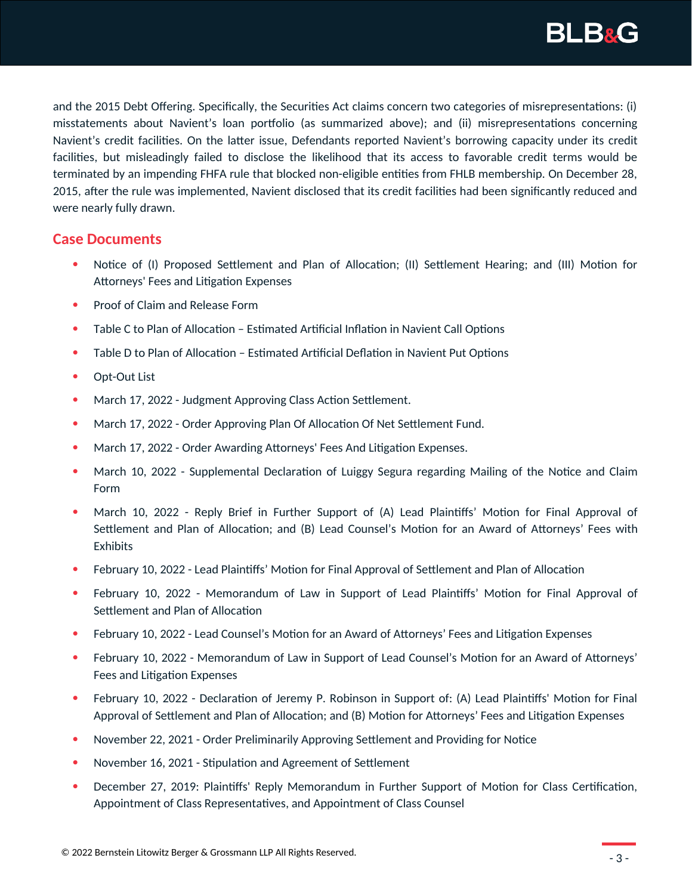

and the 2015 Debt Offering. Specifically, the Securities Act claims concern two categories of misrepresentations: (i) misstatements about Navient's loan portfolio (as summarized above); and (ii) misrepresentations concerning Navient's credit facilities. On the latter issue, Defendants reported Navient's borrowing capacity under its credit facilities, but misleadingly failed to disclose the likelihood that its access to favorable credit terms would be terminated by an impending FHFA rule that blocked non-eligible entities from FHLB membership. On December 28, 2015, after the rule was implemented, Navient disclosed that its credit facilities had been significantly reduced and were nearly fully drawn.

## **Case Documents**

- Notice of (I) Proposed Settlement and Plan of Allocation; (II) Settlement Hearing; and (III) Motion for Attorneys' Fees and Litigation Expenses
- Proof of Claim and Release Form
- Table C to Plan of Allocation Estimated Artificial Inflation in Navient Call Options
- Table D to Plan of Allocation Estimated Artificial Deflation in Navient Put Options
- Opt-Out List
- March 17, 2022 Judgment Approving Class Action Settlement.
- March 17, 2022 Order Approving Plan Of Allocation Of Net Settlement Fund.
- March 17, 2022 Order Awarding Attorneys' Fees And Litigation Expenses.
- March 10, 2022 Supplemental Declaration of Luiggy Segura regarding Mailing of the Notice and Claim Form
- March 10, 2022 Reply Brief in Further Support of (A) Lead Plaintiffs' Motion for Final Approval of Settlement and Plan of Allocation; and (B) Lead Counsel's Motion for an Award of Attorneys' Fees with Exhibits
- February 10, 2022 Lead Plaintiffs' Motion for Final Approval of Settlement and Plan of Allocation
- February 10, 2022 Memorandum of Law in Support of Lead Plaintiffs' Motion for Final Approval of Settlement and Plan of Allocation
- February 10, 2022 Lead Counsel's Motion for an Award of Attorneys' Fees and Litigation Expenses
- February 10, 2022 Memorandum of Law in Support of Lead Counsel's Motion for an Award of Attorneys' Fees and Litigation Expenses
- February 10, 2022 Declaration of Jeremy P. Robinson in Support of: (A) Lead Plaintiffs' Motion for Final Approval of Settlement and Plan of Allocation; and (B) Motion for Attorneys' Fees and Litigation Expenses
- November 22, 2021 Order Preliminarily Approving Settlement and Providing for Notice
- November 16, 2021 Stipulation and Agreement of Settlement
- December 27, 2019: Plaintiffs' Reply Memorandum in Further Support of Motion for Class Certification, Appointment of Class Representatives, and Appointment of Class Counsel